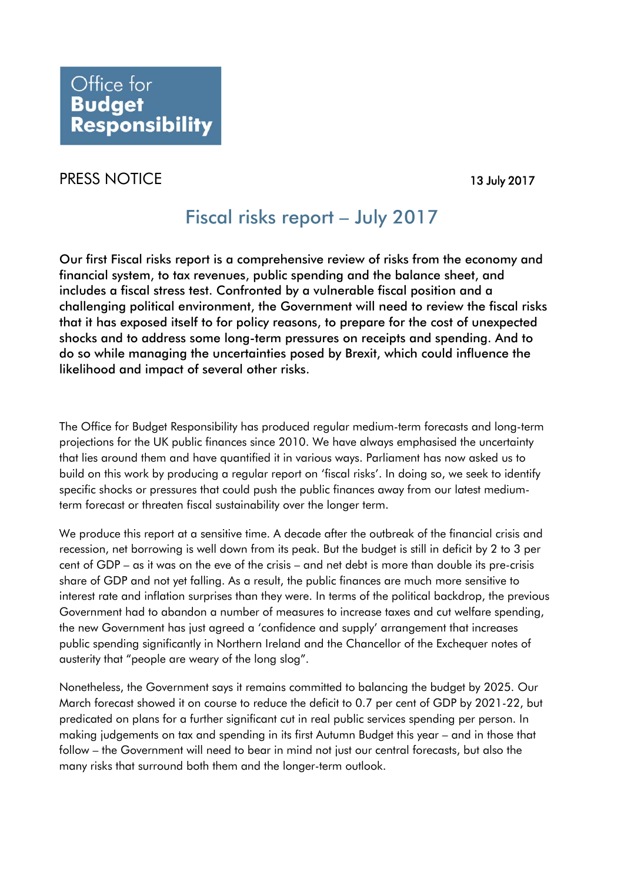## PRESS NOTICE 13 July 2017

## Fiscal risks report – July 2017

Our first Fiscal risks report is a comprehensive review of risks from the economy and financial system, to tax revenues, public spending and the balance sheet, and includes a fiscal stress test. Confronted by a vulnerable fiscal position and a challenging political environment, the Government will need to review the fiscal risks that it has exposed itself to for policy reasons, to prepare for the cost of unexpected shocks and to address some long-term pressures on receipts and spending. And to do so while managing the uncertainties posed by Brexit, which could influence the likelihood and impact of several other risks.

The Office for Budget Responsibility has produced regular medium-term forecasts and long-term projections for the UK public finances since 2010. We have always emphasised the uncertainty that lies around them and have quantified it in various ways. Parliament has now asked us to build on this work by producing a regular report on 'fiscal risks'. In doing so, we seek to identify specific shocks or pressures that could push the public finances away from our latest mediumterm forecast or threaten fiscal sustainability over the longer term.

We produce this report at a sensitive time. A decade after the outbreak of the financial crisis and recession, net borrowing is well down from its peak. But the budget is still in deficit by 2 to 3 per cent of GDP – as it was on the eve of the crisis – and net debt is more than double its pre-crisis share of GDP and not yet falling. As a result, the public finances are much more sensitive to interest rate and inflation surprises than they were. In terms of the political backdrop, the previous Government had to abandon a number of measures to increase taxes and cut welfare spending, the new Government has just agreed a 'confidence and supply' arrangement that increases public spending significantly in Northern Ireland and the Chancellor of the Exchequer notes of austerity that "people are weary of the long slog".

Nonetheless, the Government says it remains committed to balancing the budget by 2025. Our March forecast showed it on course to reduce the deficit to 0.7 per cent of GDP by 2021-22, but predicated on plans for a further significant cut in real public services spending per person. In making judgements on tax and spending in its first Autumn Budget this year – and in those that follow – the Government will need to bear in mind not just our central forecasts, but also the many risks that surround both them and the longer-term outlook.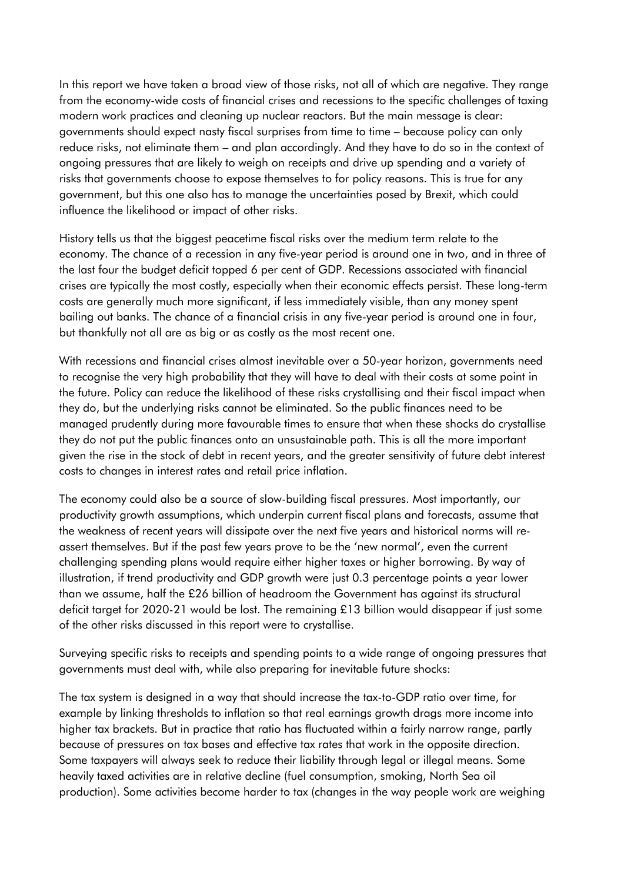In this report we have taken a broad view of those risks, not all of which are negative. They range from the economy-wide costs of financial crises and recessions to the specific challenges of taxing modern work practices and cleaning up nuclear reactors. But the main message is clear: governments should expect nasty fiscal surprises from time to time – because policy can only reduce risks, not eliminate them – and plan accordingly. And they have to do so in the context of ongoing pressures that are likely to weigh on receipts and drive up spending and a variety of risks that governments choose to expose themselves to for policy reasons. This is true for any government, but this one also has to manage the uncertainties posed by Brexit, which could influence the likelihood or impact of other risks.

History tells us that the biggest peacetime fiscal risks over the medium term relate to the economy. The chance of a recession in any five-year period is around one in two, and in three of the last four the budget deficit topped 6 per cent of GDP. Recessions associated with financial crises are typically the most costly, especially when their economic effects persist. These long-term costs are generally much more significant, if less immediately visible, than any money spent bailing out banks. The chance of a financial crisis in any five-year period is around one in four, but thankfully not all are as big or as costly as the most recent one.

With recessions and financial crises almost inevitable over a 50-year horizon, governments need to recognise the very high probability that they will have to deal with their costs at some point in the future. Policy can reduce the likelihood of these risks crystallising and their fiscal impact when they do, but the underlying risks cannot be eliminated. So the public finances need to be managed prudently during more favourable times to ensure that when these shocks do crystallise they do not put the public finances onto an unsustainable path. This is all the more important given the rise in the stock of debt in recent years, and the greater sensitivity of future debt interest costs to changes in interest rates and retail price inflation.

The economy could also be a source of slow-building fiscal pressures. Most importantly, our productivity growth assumptions, which underpin current fiscal plans and forecasts, assume that the weakness of recent years will dissipate over the next five years and historical norms will reassert themselves. But if the past few years prove to be the 'new normal', even the current challenging spending plans would require either higher taxes or higher borrowing. By way of illustration, if trend productivity and GDP growth were just 0.3 percentage points a year lower than we assume, half the £26 billion of headroom the Government has against its structural deficit target for 2020-21 would be lost. The remaining £13 billion would disappear if just some of the other risks discussed in this report were to crystallise.

Surveying specific risks to receipts and spending points to a wide range of ongoing pressures that governments must deal with, while also preparing for inevitable future shocks:

The tax system is designed in a way that should increase the tax-to-GDP ratio over time, for example by linking thresholds to inflation so that real earnings growth drags more income into higher tax brackets. But in practice that ratio has fluctuated within a fairly narrow range, partly because of pressures on tax bases and effective tax rates that work in the opposite direction. Some taxpayers will always seek to reduce their liability through legal or illegal means. Some heavily taxed activities are in relative decline (fuel consumption, smoking, North Sea oil production). Some activities become harder to tax (changes in the way people work are weighing